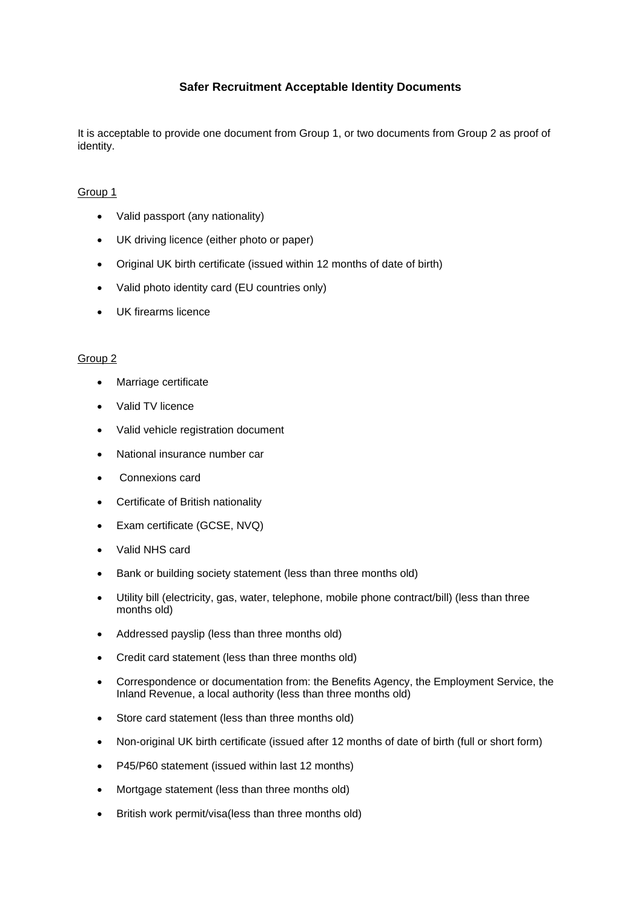## **Safer Recruitment Acceptable Identity Documents**

It is acceptable to provide one document from Group 1, or two documents from Group 2 as proof of identity.

## Group 1

- Valid passport (any nationality)
- UK driving licence (either photo or paper)
- Original UK birth certificate (issued within 12 months of date of birth)
- Valid photo identity card (EU countries only)
- UK firearms licence

## Group 2

- Marriage certificate
- Valid TV licence
- Valid vehicle registration document
- National insurance number car
- Connexions card
- Certificate of British nationality
- Exam certificate (GCSE, NVQ)
- Valid NHS card
- Bank or building society statement (less than three months old)
- Utility bill (electricity, gas, water, telephone, mobile phone contract/bill) (less than three months old)
- Addressed payslip (less than three months old)
- Credit card statement (less than three months old)
- Correspondence or documentation from: the Benefits Agency, the Employment Service, the Inland Revenue, a local authority (less than three months old)
- Store card statement (less than three months old)
- Non-original UK birth certificate (issued after 12 months of date of birth (full or short form)
- P45/P60 statement (issued within last 12 months)
- Mortgage statement (less than three months old)
- British work permit/visa(less than three months old)